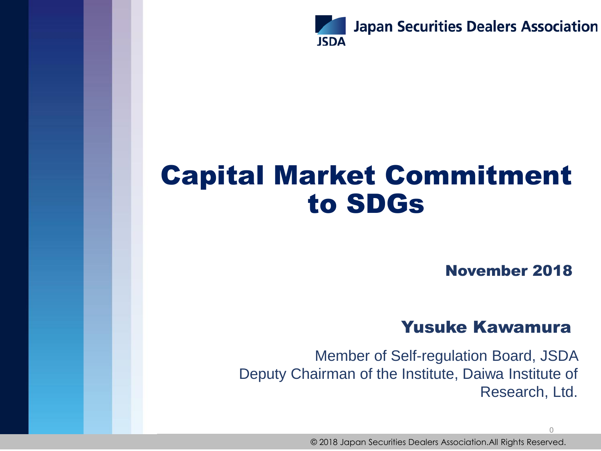

## Capital Market Commitment to SDGs

November 2018

 $\overline{0}$ 

### Yusuke Kawamura

Member of Self-regulation Board, JSDA Deputy Chairman of the Institute, Daiwa Institute of Research, Ltd.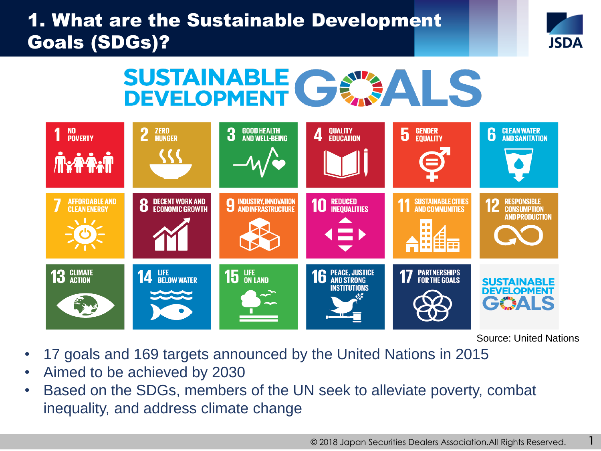### 1. What are the Sustainable Development Goals (SDGs)?



# SUSTAINABLE CEATALS



Source: United Nations

1

- 17 goals and 169 targets announced by the United Nations in 2015
- Aimed to be achieved by 2030
- Based on the SDGs, members of the UN seek to alleviate poverty, combat inequality, and address climate change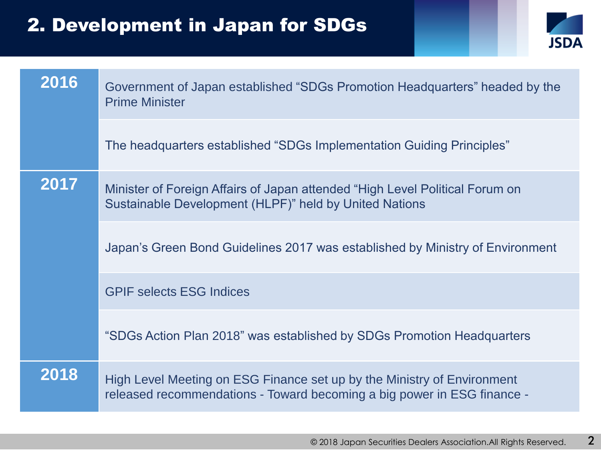### 2. Development in Japan for SDGs



| 2016 | Government of Japan established "SDGs Promotion Headquarters" headed by the<br><b>Prime Minister</b>                                               |
|------|----------------------------------------------------------------------------------------------------------------------------------------------------|
|      | The headquarters established "SDGs Implementation Guiding Principles"                                                                              |
| 2017 | Minister of Foreign Affairs of Japan attended "High Level Political Forum on<br>Sustainable Development (HLPF)" held by United Nations             |
|      | Japan's Green Bond Guidelines 2017 was established by Ministry of Environment                                                                      |
|      | <b>GPIF selects ESG Indices</b>                                                                                                                    |
|      | "SDGs Action Plan 2018" was established by SDGs Promotion Headquarters                                                                             |
| 2018 | High Level Meeting on ESG Finance set up by the Ministry of Environment<br>released recommendations - Toward becoming a big power in ESG finance - |